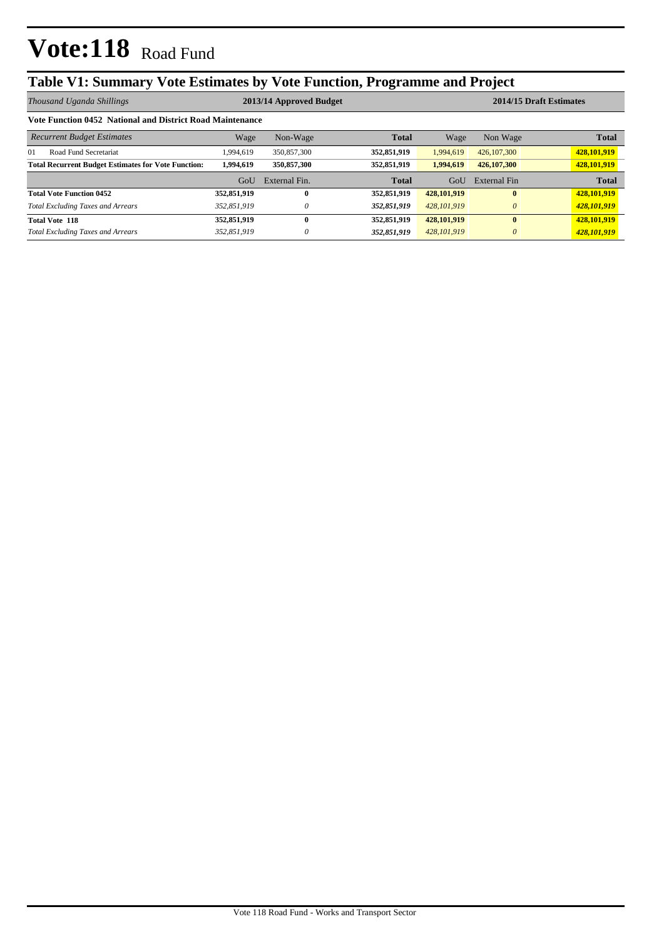# **Vote:118** Road Fund

### **Table V1: Summary Vote Estimates by Vote Function, Programme and Project**

| Thousand Uganda Shillings                                  | 2013/14 Approved Budget |               |              |               | 2014/15 Draft Estimates |              |  |  |
|------------------------------------------------------------|-------------------------|---------------|--------------|---------------|-------------------------|--------------|--|--|
| Vote Function 0452 National and District Road Maintenance  |                         |               |              |               |                         |              |  |  |
| <b>Recurrent Budget Estimates</b>                          | Wage                    | Non-Wage      | <b>Total</b> | Wage          | Non Wage                | <b>Total</b> |  |  |
| $_{01}$<br>Road Fund Secretariat                           | 1.994.619               | 350,857,300   | 352,851,919  | 1,994,619     | 426, 107, 300           | 428,101,919  |  |  |
| <b>Total Recurrent Budget Estimates for Vote Function:</b> | 1.994.619               | 350,857,300   | 352,851,919  | 1.994.619     | 426,107,300             | 428,101,919  |  |  |
|                                                            | GoU                     | External Fin. | <b>Total</b> | GoU           | External Fin            | <b>Total</b> |  |  |
| <b>Total Vote Function 0452</b>                            | 352,851,919             | 0             | 352,851,919  | 428,101,919   | $\mathbf{0}$            | 428,101,919  |  |  |
| <b>Total Excluding Taxes and Arrears</b>                   | 352,851,919             | 0             | 352,851,919  | 428, 101, 919 | $\theta$                | 428,101,919  |  |  |
| <b>Total Vote 118</b>                                      | 352,851,919             | 0             | 352,851,919  | 428,101,919   | $\mathbf{0}$            | 428,101,919  |  |  |
| <b>Total Excluding Taxes and Arrears</b>                   | 352.851.919             | 0             | 352,851,919  | 428, 101, 919 | $\theta$                | 428,101,919  |  |  |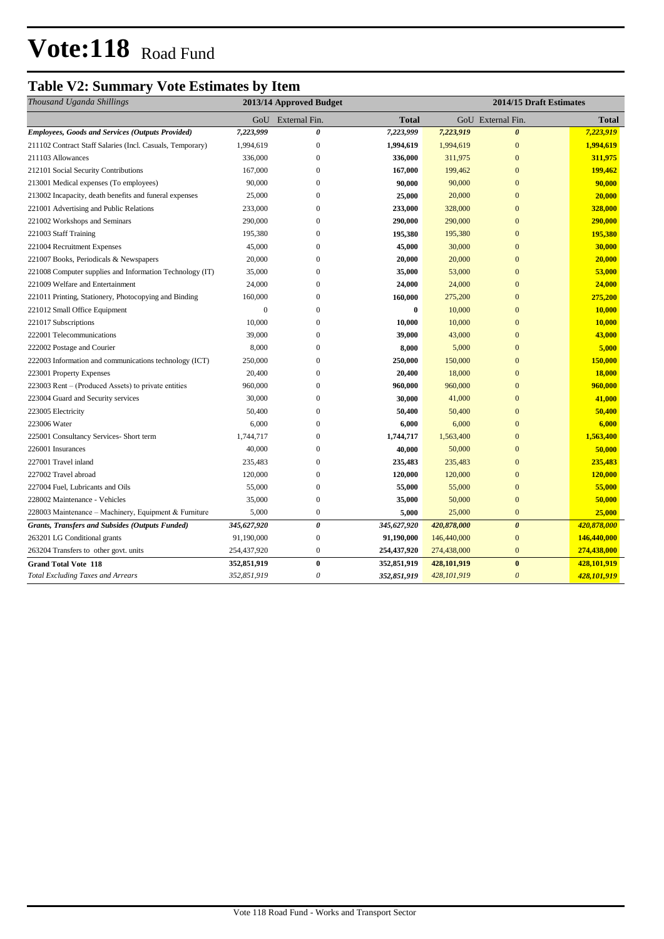# **Vote:118** Road Fund

### **Table V2: Summary Vote Estimates by Item**

| Thousand Uganda Shillings                                 | 2013/14 Approved Budget |                   |             | 2014/15 Draft Estimates |                       |              |
|-----------------------------------------------------------|-------------------------|-------------------|-------------|-------------------------|-----------------------|--------------|
|                                                           |                         | GoU External Fin. | Total       |                         | GoU External Fin.     | <b>Total</b> |
| <b>Employees, Goods and Services (Outputs Provided)</b>   | 7,223,999               | 0                 | 7,223,999   | 7,223,919               | $\boldsymbol{\theta}$ | 7,223,919    |
| 211102 Contract Staff Salaries (Incl. Casuals, Temporary) | 1,994,619               | $\boldsymbol{0}$  | 1,994,619   | 1,994,619               | $\mathbf{0}$          | 1,994,619    |
| 211103 Allowances                                         | 336,000                 | $\boldsymbol{0}$  | 336,000     | 311,975                 | $\mathbf{0}$          | 311,975      |
| 212101 Social Security Contributions                      | 167,000                 | $\overline{0}$    | 167,000     | 199,462                 | $\overline{0}$        | 199,462      |
| 213001 Medical expenses (To employees)                    | 90,000                  | $\boldsymbol{0}$  | 90,000      | 90,000                  | $\mathbf{0}$          | 90,000       |
| 213002 Incapacity, death benefits and funeral expenses    | 25,000                  | $\mathbf{0}$      | 25,000      | 20,000                  | $\mathbf{0}$          | 20,000       |
| 221001 Advertising and Public Relations                   | 233,000                 | $\mathbf{0}$      | 233,000     | 328,000                 | $\mathbf{0}$          | 328,000      |
| 221002 Workshops and Seminars                             | 290,000                 | $\mathbf{0}$      | 290,000     | 290,000                 | $\overline{0}$        | 290,000      |
| 221003 Staff Training                                     | 195,380                 | $\boldsymbol{0}$  | 195,380     | 195,380                 | $\bf{0}$              | 195,380      |
| 221004 Recruitment Expenses                               | 45,000                  | $\mathbf{0}$      | 45,000      | 30,000                  | $\mathbf{0}$          | 30,000       |
| 221007 Books, Periodicals & Newspapers                    | 20,000                  | $\boldsymbol{0}$  | 20,000      | 20,000                  | $\mathbf{0}$          | 20,000       |
| 221008 Computer supplies and Information Technology (IT)  | 35,000                  | $\mathbf{0}$      | 35,000      | 53,000                  | $\mathbf{0}$          | 53,000       |
| 221009 Welfare and Entertainment                          | 24,000                  | $\mathbf{0}$      | 24,000      | 24,000                  | $\mathbf{0}$          | 24,000       |
| 221011 Printing, Stationery, Photocopying and Binding     | 160,000                 | $\mathbf{0}$      | 160,000     | 275,200                 | $\mathbf{0}$          | 275,200      |
| 221012 Small Office Equipment                             | $\mathbf{0}$            | $\boldsymbol{0}$  | $\bf{0}$    | 10,000                  | $\bf{0}$              | 10,000       |
| 221017 Subscriptions                                      | 10,000                  | $\overline{0}$    | 10,000      | 10,000                  | $\overline{0}$        | 10,000       |
| 222001 Telecommunications                                 | 39,000                  | $\mathbf{0}$      | 39,000      | 43,000                  | $\overline{0}$        | 43,000       |
| 222002 Postage and Courier                                | 8,000                   | $\mathbf{0}$      | 8,000       | 5,000                   | $\overline{0}$        | 5,000        |
| 222003 Information and communications technology (ICT)    | 250,000                 | $\mathbf{0}$      | 250,000     | 150,000                 | $\overline{0}$        | 150,000      |
| 223001 Property Expenses                                  | 20,400                  | $\mathbf{0}$      | 20,400      | 18,000                  | $\mathbf{0}$          | 18,000       |
| 223003 Rent – (Produced Assets) to private entities       | 960,000                 | $\Omega$          | 960,000     | 960,000                 | $\overline{0}$        | 960,000      |
| 223004 Guard and Security services                        | 30,000                  | $\mathbf{0}$      | 30,000      | 41,000                  | $\overline{0}$        | 41,000       |
| 223005 Electricity                                        | 50,400                  | $\Omega$          | 50,400      | 50,400                  | $\mathbf{0}$          | 50,400       |
| 223006 Water                                              | 6,000                   | $\mathbf{0}$      | 6,000       | 6,000                   | $\mathbf{0}$          | 6,000        |
| 225001 Consultancy Services- Short term                   | 1,744,717               | $\mathbf{0}$      | 1,744,717   | 1,563,400               | $\mathbf{0}$          | 1,563,400    |
| 226001 Insurances                                         | 40,000                  | $\mathbf{0}$      | 40,000      | 50,000                  | $\mathbf{0}$          | 50,000       |
| 227001 Travel inland                                      | 235,483                 | $\mathbf{0}$      | 235,483     | 235,483                 | $\mathbf{0}$          | 235,483      |
| 227002 Travel abroad                                      | 120,000                 | $\boldsymbol{0}$  | 120,000     | 120,000                 | $\overline{0}$        | 120,000      |
| 227004 Fuel, Lubricants and Oils                          | 55,000                  | $\boldsymbol{0}$  | 55,000      | 55,000                  | $\overline{0}$        | 55,000       |
| 228002 Maintenance - Vehicles                             | 35,000                  | $\boldsymbol{0}$  | 35,000      | 50,000                  | $\mathbf{0}$          | 50,000       |
| 228003 Maintenance – Machinery, Equipment & Furniture     | 5,000                   | $\mathbf{0}$      | 5,000       | 25,000                  | $\mathbf{0}$          | 25,000       |
| <b>Grants, Transfers and Subsides (Outputs Funded)</b>    | 345,627,920             | 0                 | 345,627,920 | 420,878,000             | $\boldsymbol{\theta}$ | 420,878,000  |
| 263201 LG Conditional grants                              | 91,190,000              | $\boldsymbol{0}$  | 91,190,000  | 146,440,000             | $\mathbf{0}$          | 146,440,000  |
| 263204 Transfers to other govt. units                     | 254,437,920             | $\boldsymbol{0}$  | 254,437,920 | 274,438,000             | $\mathbf{0}$          | 274,438,000  |
| <b>Grand Total Vote 118</b>                               | 352,851,919             | $\bf{0}$          | 352,851,919 | 428,101,919             | $\bf{0}$              | 428,101,919  |
| <b>Total Excluding Taxes and Arrears</b>                  | 352,851,919             | 0                 | 352,851,919 | 428,101,919             | $\boldsymbol{\theta}$ | 428,101,919  |